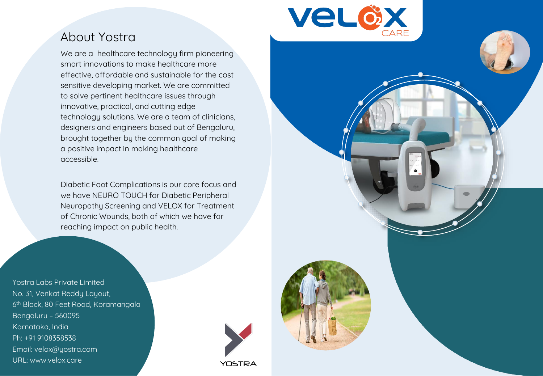

## About Yostra

We are a healthcare technology firm pioneering smart innovations to make healthcare more effective, affordable and sustainable for the cost sensitive developing market. We are committed to solve pertinent healthcare issues through innovative, practical, and cutting edge technology solutions. We are a team of clinicians, designers and engineers based out of Bengaluru, brought together by the common goal of making a positive impact in making healthcare accessible.

Diabetic Foot Complications is our core focus and we have NEURO TOUCH for Diabetic Peripheral Neuropathy Screening and VELOX for Treatment of Chronic Wounds, both of which we have far reaching impact on public health.

No. 31, Venkat Reddy Layout, 6<sup>th</sup> Block, 80 Feet Road, Koramangala Bengaluru – 560095 Ph: +91 9108358538 Ph: +91 9108358538 Email: velox@yostra.com Email: velox@yostra.com URL: www.velox.care URL: www.velox.careYostra Labs Private Limited Karnataka, India